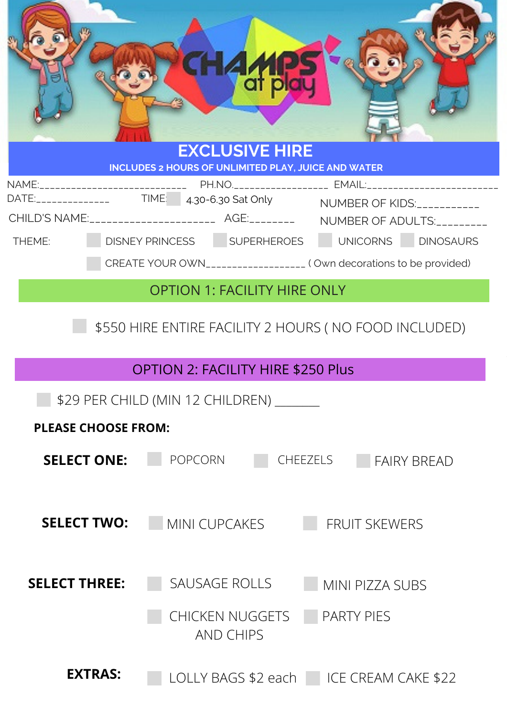|                                  | HAMP                                                                                                                                                                              |  |  |
|----------------------------------|-----------------------------------------------------------------------------------------------------------------------------------------------------------------------------------|--|--|
|                                  | <b>EXCLUSIVE HIRE</b><br>INCLUDES 2 HOURS OF UNLIMITED PLAY, JUICE AND WATER                                                                                                      |  |  |
|                                  | NAME:______________________________PH.NO.____________________EMAIL:________________________________<br>DATE:_______________  TIME: 4.30-6.30 Sat Only NUMBER OF KIDS:____________ |  |  |
|                                  | CHILD'S NAME:_______________________ AGE:_________ NUMBER OF ADULTS:__________                                                                                                    |  |  |
| THEME:                           | DISNEY PRINCESS SUPERHEROES UNICORNS DINOSAURS                                                                                                                                    |  |  |
|                                  | CREATE YOUR OWN___________________ (Own decorations to be provided)                                                                                                               |  |  |
|                                  | <b>OPTION 1: FACILITY HIRE ONLY</b>                                                                                                                                               |  |  |
|                                  | \$550 HIRE ENTIRE FACILITY 2 HOURS (NO FOOD INCLUDED)                                                                                                                             |  |  |
|                                  | <b>OPTION 2: FACILITY HIRE \$250 Plus</b>                                                                                                                                         |  |  |
| \$29 PER CHILD (MIN 12 CHILDREN) |                                                                                                                                                                                   |  |  |
|                                  | <b>PLEASE CHOOSE FROM:</b>                                                                                                                                                        |  |  |
| <b>SELECT ONE:</b>               | <b>POPCORN</b><br><b>CHEEZELS</b><br><b>FAIRY BREAD</b>                                                                                                                           |  |  |
| <b>SELECT TWO:</b>               | MINI CUPCAKES<br><b>FRUIT SKEWERS</b>                                                                                                                                             |  |  |
| <b>SELECT THREE:</b>             | SAUSAGE ROLLS<br>MINI PIZZA SUBS                                                                                                                                                  |  |  |
|                                  | CHICKEN NUGGETS<br><b>PARTY PIES</b><br><b>AND CHIPS</b>                                                                                                                          |  |  |
| <b>EXTRAS:</b>                   | LOLLY BAGS \$2 each CLCE CREAM CAKE \$22                                                                                                                                          |  |  |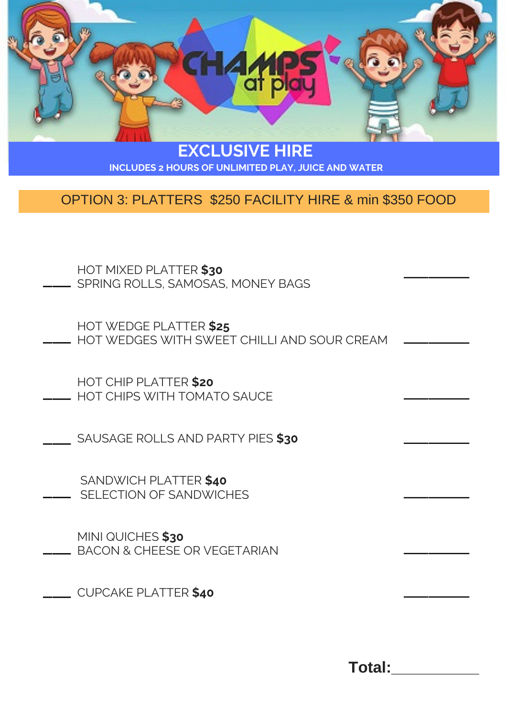

**EXCLUSIVE HIRE INCLUDES 2 HOURS OF UNLIMITED PLAY, JUICE AND WATER**

## OPTION 3: PLATTERS \$250 FACILITY HIRE & min \$350 FOOD

- HOT MIXED PLATTER **\$30** HOT MIXED PLATTER **\$30**<br>\_\_\_\_\_\_\_\_ SPRING ROLLS, SAMOSAS, MONEY BAGS
- HOT WEDGE PLATTER **\$25** HOT WEDGES WITH SWEET CHILLI AND SOUR CREAM  $\overline{\phantom{a}}$
- HOT CHIP PLATTER **\$20** HOT CHIP PLATTER **\$20**<br>HOT CHIPS WITH TOMATO SAUCE
- SAUSAGE ROLLS AND PARTY PIES **\$30** \_\_\_
- SANDWICH PLATTER **\$40** SELECTION OF SANDWICHES  $\overline{\phantom{a}}$
- MINI QUICHES **\$30** BACON & CHEESE OR VEGETARIAN \_\_\_
- CUPCAKE PLATTER **\$40** \_\_\_

**Total:\_\_\_\_\_\_\_\_\_\_**

 $\overline{\phantom{a}}$ 

 $\overline{\phantom{a}}$ 

 $\overline{\phantom{a}}$ 

 $\overline{\phantom{a}}$ 

 $\overline{\phantom{a}}$ 

 $\overline{\phantom{a}}$